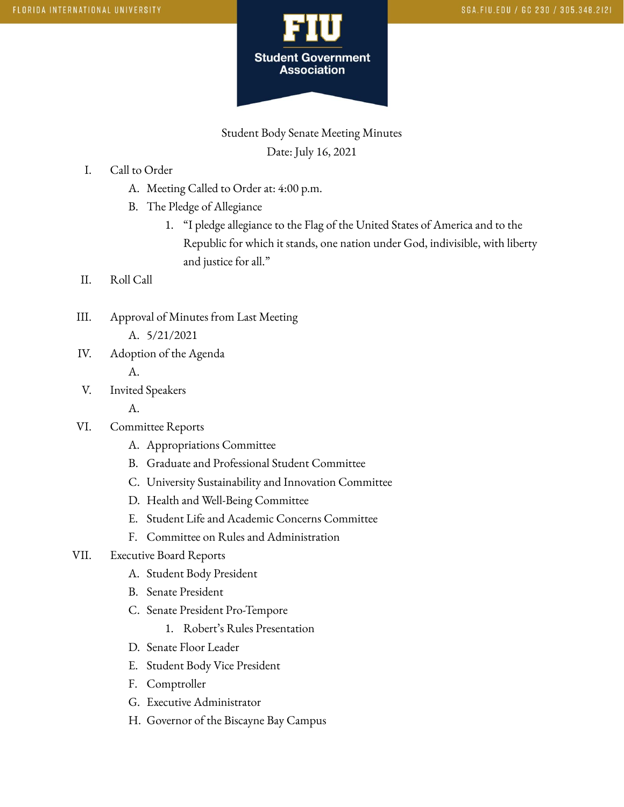

Student Body Senate Meeting Minutes Date: July 16, 2021

- I. Call to Order
	- A. Meeting Called to Order at: 4:00 p.m.
	- B. The Pledge of Allegiance
		- 1. "I pledge allegiance to the Flag of the United States of America and to the Republic for which it stands, one nation under God, indivisible, with liberty and justice for all."
- II. Roll Call
- III. Approval of Minutes from Last Meeting A. 5/21/2021
- IV. Adoption of the Agenda
	- A.
- V. Invited Speakers
	- A.
- VI. Committee Reports
	- A. Appropriations Committee
	- B. Graduate and Professional Student Committee
	- C. University Sustainability and Innovation Committee
	- D. Health and Well-Being Committee
	- E. Student Life and Academic Concerns Committee
	- F. Committee on Rules and Administration
- VII. Executive Board Reports
	- A. Student Body President
	- B. Senate President
	- C. Senate President Pro-Tempore
		- 1. Robert's Rules Presentation
	- D. Senate Floor Leader
	- E. Student Body Vice President
	- F. Comptroller
	- G. Executive Administrator
	- H. Governor of the Biscayne Bay Campus